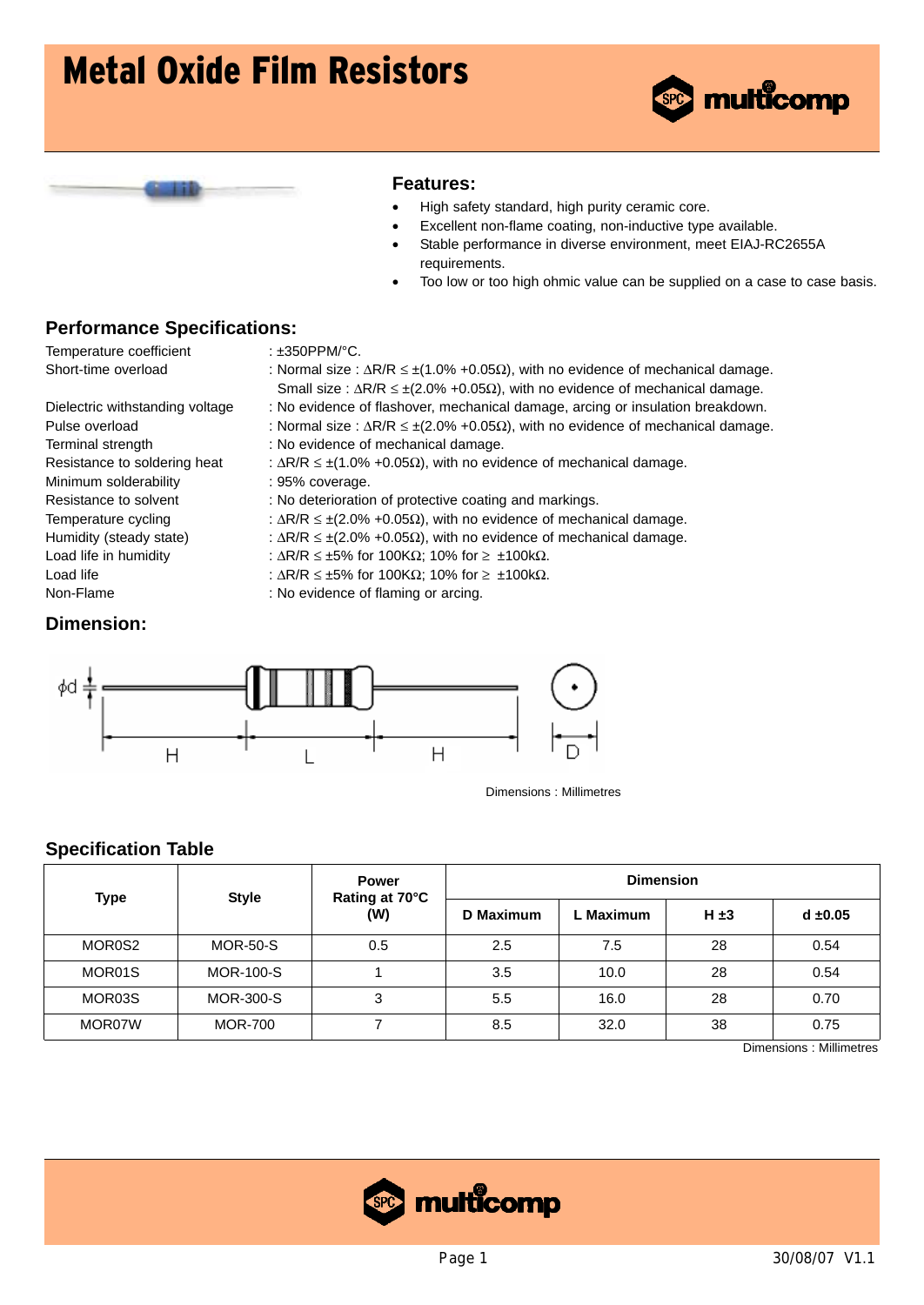



#### **Features:**

- High safety standard, high purity ceramic core.
- Excellent non-flame coating, non-inductive type available.
- Stable performance in diverse environment, meet EIAJ-RC2655A requirements.
- Too low or too high ohmic value can be supplied on a case to case basis.

### **Performance Specifications:**

Temperature coefficient : ±350PPM/°C.

- Short-time overload : Normal size : ΔR/R ≤ ±(1.0% +0.05Ω), with no evidence of mechanical damage. Small size : ΔR/R ≤ ±(2.0% +0.05Ω), with no evidence of mechanical damage.
- Dielectric withstanding voltage : No evidence of flashover, mechanical damage, arcing or insulation breakdown.
- Pulse overload : Normal size :  $\Delta R/R \le \pm (2.0\% + 0.05\Omega)$ , with no evidence of mechanical damage.
- Terminal strength : No evidence of mechanical damage.
- Resistance to soldering heat :  $\Delta R/R \le \pm (1.0\% + 0.05\Omega)$ , with no evidence of mechanical damage.
- Minimum solderability : 95% coverage.
- Resistance to solvent : No deterioration of protective coating and markings.
- Temperature cycling  $\therefore \Delta R/R \leq \pm (2.0\% + 0.05\Omega)$ , with no evidence of mechanical damage.
- Humidity (steady state) :  $\Delta R/R \le \pm (2.0\% + 0.05\Omega)$ , with no evidence of mechanical damage.
- Load life in humidity :  $\Delta R/R \le \pm 5\%$  for 100K $\Omega$ ; 10% for  $\ge \pm 100$ k $\Omega$ .
- Load life  $\triangle$  :  $\triangle R/R \le \pm 5\%$  for 100K $\Omega$ ; 10% for  $\ge \pm 100$ k $\Omega$ .
- Non-Flame : No evidence of flaming or arcing.

### **Dimension:**



Dimensions : Millimetres

### **Specification Table**

| Type   | <b>Style</b>     | <b>Power</b><br>Rating at 70°C | <b>Dimension</b> |           |           |            |  |  |
|--------|------------------|--------------------------------|------------------|-----------|-----------|------------|--|--|
|        |                  | (W)                            | D Maximum        | . Maximum | $H \pm 3$ | $d = 0.05$ |  |  |
| MOR0S2 | <b>MOR-50-S</b>  | 0.5                            | 2.5              | 7.5       | 28        | 0.54       |  |  |
| MOR01S | <b>MOR-100-S</b> |                                | 3.5              | 10.0      | 28        | 0.54       |  |  |
| MOR03S | <b>MOR-300-S</b> | 3                              | 5.5              | 16.0      | 28        | 0.70       |  |  |
| MOR07W | <b>MOR-700</b>   |                                | 8.5              | 32.0      | 38        | 0.75       |  |  |

Dimensions : Millimetres

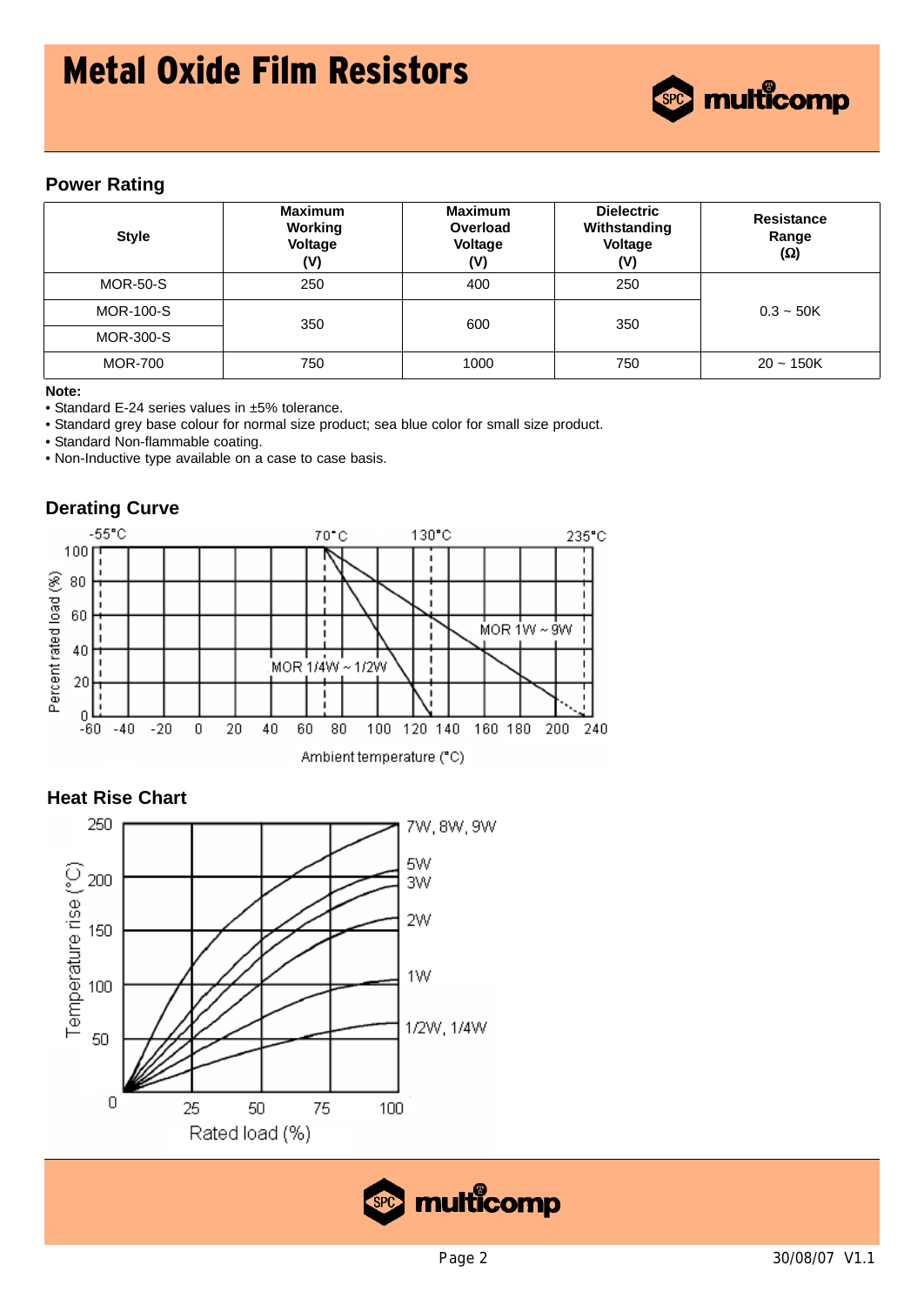

### **Power Rating**

| <b>Style</b>     | <b>Maximum</b><br>Working<br>Voltage<br>(V) | <b>Maximum</b><br>Overload<br><b>Voltage</b><br>(V) | <b>Dielectric</b><br>Withstanding<br><b>Voltage</b><br>(V) | <b>Resistance</b><br>Range<br>$(\Omega)$ |  |
|------------------|---------------------------------------------|-----------------------------------------------------|------------------------------------------------------------|------------------------------------------|--|
| <b>MOR-50-S</b>  | 250                                         | 400                                                 | 250                                                        |                                          |  |
| <b>MOR-100-S</b> | 350                                         | 600                                                 | 350                                                        | $0.3 - 50K$                              |  |
| <b>MOR-300-S</b> |                                             |                                                     |                                                            |                                          |  |
| <b>MOR-700</b>   | 750                                         | 1000                                                | 750                                                        | $20 - 150K$                              |  |

#### **Note:**

• Standard E-24 series values in ±5% tolerance.

• Standard grey base colour for normal size product; sea blue color for small size product.

• Standard Non-flammable coating.

• Non-Inductive type available on a case to case basis.





### **Heat Rise Chart**



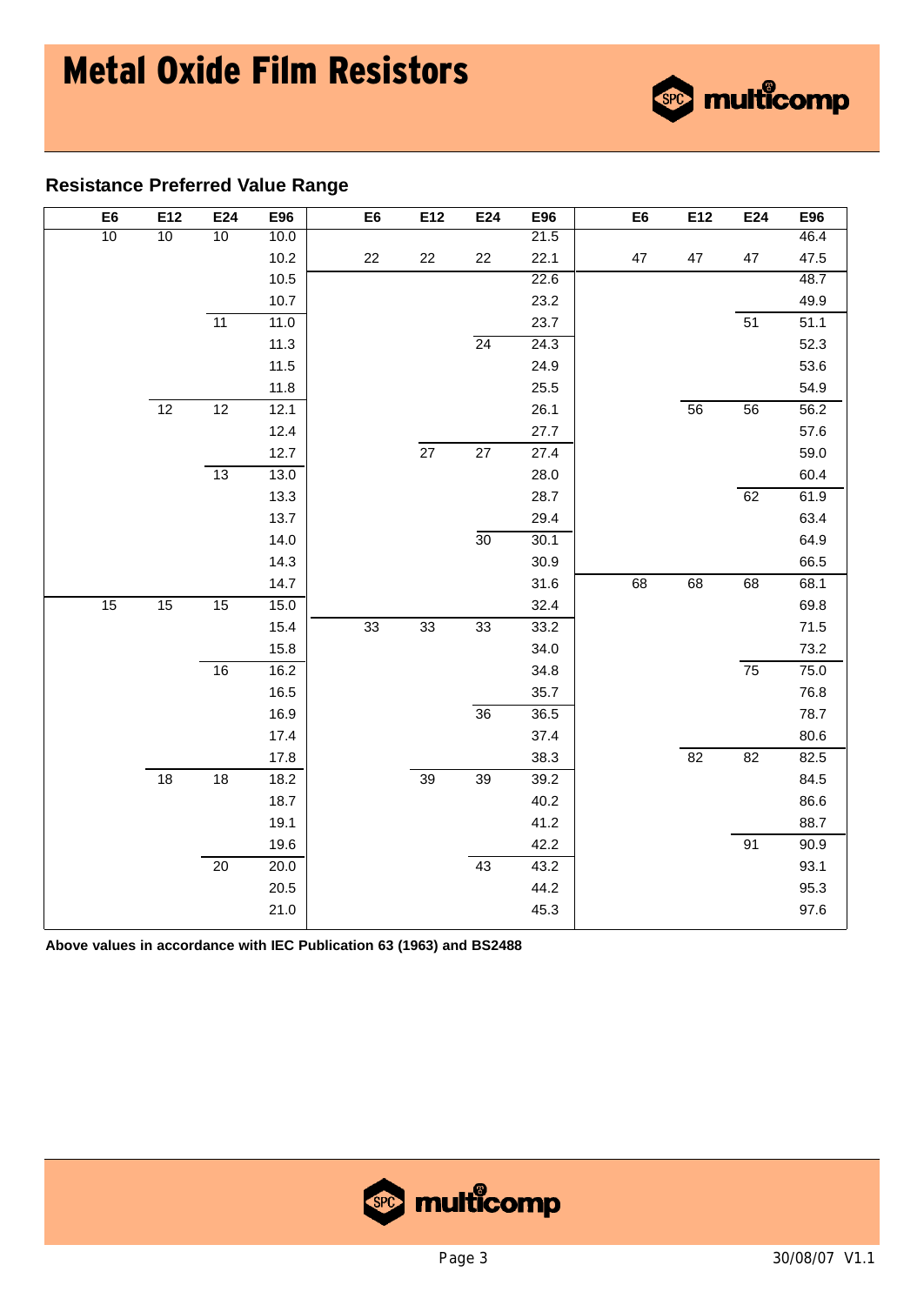

| E <sub>6</sub>  | E12             | E24             | E96      | E <sub>6</sub> | E12 | E24             | E96  | E <sub>6</sub> | E12             | E24             | E96  |
|-----------------|-----------------|-----------------|----------|----------------|-----|-----------------|------|----------------|-----------------|-----------------|------|
| $\overline{10}$ | 10              | 10              | 10.0     |                |     |                 | 21.5 |                |                 |                 | 46.4 |
|                 |                 |                 | 10.2     | 22             | 22  | 22              | 22.1 | 47             | 47              | 47              | 47.5 |
|                 |                 |                 | 10.5     |                |     |                 | 22.6 |                |                 |                 | 48.7 |
|                 |                 |                 | 10.7     |                |     |                 | 23.2 |                |                 |                 | 49.9 |
|                 |                 | $\overline{11}$ | 11.0     |                |     |                 | 23.7 |                |                 | 51              | 51.1 |
|                 |                 |                 | 11.3     |                |     | $\overline{24}$ | 24.3 |                |                 |                 | 52.3 |
|                 |                 |                 | 11.5     |                |     |                 | 24.9 |                |                 |                 | 53.6 |
|                 |                 |                 | 11.8     |                |     |                 | 25.5 |                |                 |                 | 54.9 |
|                 | $\overline{12}$ | $\overline{12}$ | 12.1     |                |     |                 | 26.1 |                | 56              | $\overline{56}$ | 56.2 |
|                 |                 |                 | 12.4     |                |     |                 | 27.7 |                |                 |                 | 57.6 |
|                 |                 |                 | 12.7     |                | 27  | 27              | 27.4 |                |                 |                 | 59.0 |
|                 |                 | $\overline{13}$ | 13.0     |                |     |                 | 28.0 |                |                 |                 | 60.4 |
|                 |                 |                 | 13.3     |                |     |                 | 28.7 |                |                 | 62              | 61.9 |
|                 |                 |                 | 13.7     |                |     |                 | 29.4 |                |                 |                 | 63.4 |
|                 |                 |                 | 14.0     |                |     | $\overline{30}$ | 30.1 |                |                 |                 | 64.9 |
|                 |                 |                 | 14.3     |                |     |                 | 30.9 |                |                 |                 | 66.5 |
|                 |                 |                 | 14.7     |                |     |                 | 31.6 | 68             | 68              | 68              | 68.1 |
| $\overline{15}$ | $\overline{15}$ | $\overline{15}$ | 15.0     |                |     |                 | 32.4 |                |                 |                 | 69.8 |
|                 |                 |                 | 15.4     | 33             | 33  | 33              | 33.2 |                |                 |                 | 71.5 |
|                 |                 |                 | 15.8     |                |     |                 | 34.0 |                |                 |                 | 73.2 |
|                 |                 | $\overline{16}$ | 16.2     |                |     |                 | 34.8 |                |                 | $\overline{75}$ | 75.0 |
|                 |                 |                 | 16.5     |                |     |                 | 35.7 |                |                 |                 | 76.8 |
|                 |                 |                 | 16.9     |                |     | $\overline{36}$ | 36.5 |                |                 |                 | 78.7 |
|                 |                 |                 | 17.4     |                |     |                 | 37.4 |                |                 |                 | 80.6 |
|                 |                 |                 | 17.8     |                |     |                 | 38.3 |                | $\overline{82}$ | $\overline{82}$ | 82.5 |
|                 | 18              | 18              | 18.2     |                | 39  | 39              | 39.2 |                |                 |                 | 84.5 |
|                 |                 |                 | 18.7     |                |     |                 | 40.2 |                |                 |                 | 86.6 |
|                 |                 |                 | 19.1     |                |     |                 | 41.2 |                |                 |                 | 88.7 |
|                 |                 |                 | 19.6     |                |     |                 | 42.2 |                |                 | 91              | 90.9 |
|                 |                 | $\overline{20}$ | 20.0     |                |     | 43              | 43.2 |                |                 |                 | 93.1 |
|                 |                 |                 | $20.5\,$ |                |     |                 | 44.2 |                |                 |                 | 95.3 |
|                 |                 |                 | 21.0     |                |     |                 | 45.3 |                |                 |                 | 97.6 |

**Above values in accordance with IEC Publication 63 (1963) and BS2488**



<sup>®</sup> multicomp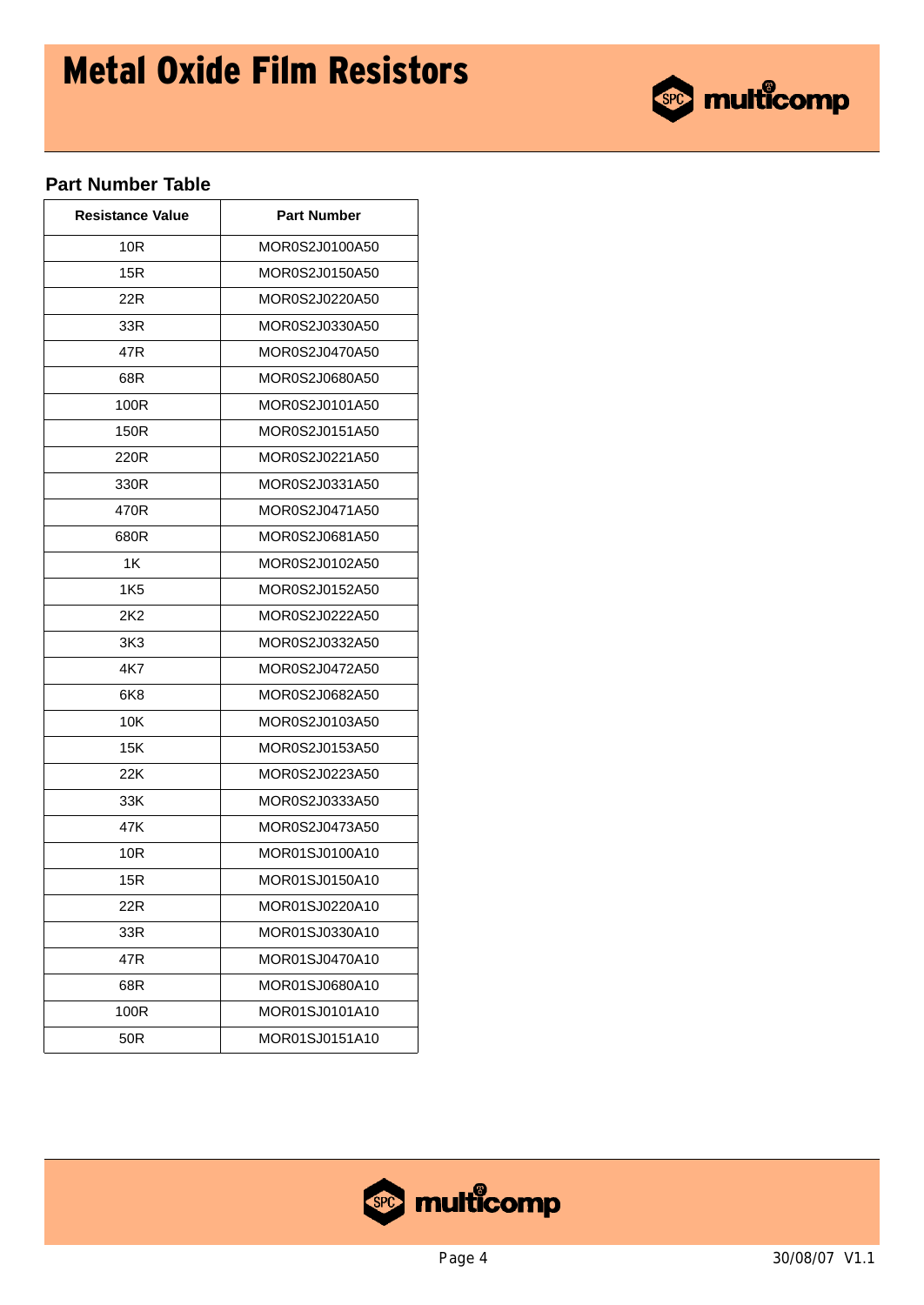

## **Part Number Table**

| <b>Resistance Value</b> | <b>Part Number</b> |
|-------------------------|--------------------|
| 10R                     | MOR0S2J0100A50     |
| 15R                     | MOR0S2J0150A50     |
| 22R                     | MOR0S2J0220A50     |
| 33R                     | MOR0S2J0330A50     |
| 47R                     | MOR0S2J0470A50     |
| 68R                     | MOR0S2J0680A50     |
| 100R                    | MOR0S2J0101A50     |
| 150R                    | MOR0S2J0151A50     |
| 220R                    | MOR0S2J0221A50     |
| 330R                    | MOR0S2J0331A50     |
| 470R                    | MOR0S2J0471A50     |
| 680R                    | MOR0S2J0681A50     |
| 1K                      | MOR0S2J0102A50     |
| 1K <sub>5</sub>         | MOR0S2J0152A50     |
| 2K2                     | MOR0S2J0222A50     |
| 3K3                     | MOR0S2J0332A50     |
| 4K7                     | MOR0S2J0472A50     |
| 6K8                     | MOR0S2J0682A50     |
| 10K                     | MOR0S2J0103A50     |
| 15K                     | MOR0S2J0153A50     |
| 22K                     | MOR0S2J0223A50     |
| 33K                     | MOR0S2J0333A50     |
| 47K                     | MOR0S2J0473A50     |
| 10R                     | MOR01SJ0100A10     |
| 15R                     | MOR01SJ0150A10     |
| 22R                     | MOR01SJ0220A10     |
| 33R                     | MOR01SJ0330A10     |
| 47R                     | MOR01SJ0470A10     |
| 68R                     | MOR01SJ0680A10     |
| 100R                    | MOR01SJ0101A10     |
| 50R                     | MOR01SJ0151A10     |

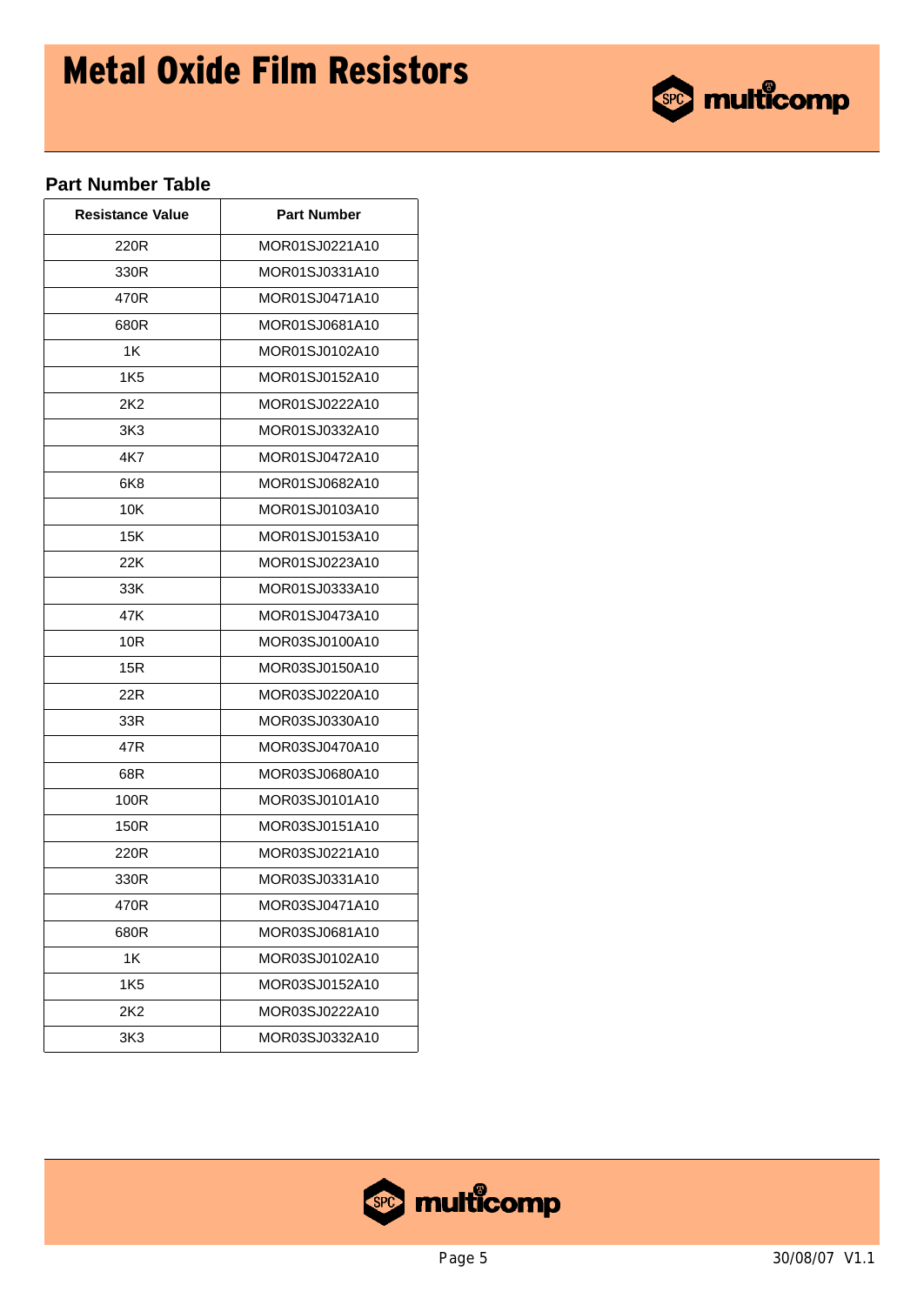

## **Part Number Table**

| <b>Resistance Value</b> | <b>Part Number</b> |
|-------------------------|--------------------|
| 220R                    | MOR01SJ0221A10     |
| 330R                    | MOR01SJ0331A10     |
| 470R                    | MOR01SJ0471A10     |
| 680R                    | MOR01SJ0681A10     |
| 1K                      | MOR01SJ0102A10     |
| 1K5                     | MOR01SJ0152A10     |
| 2K2                     | MOR01SJ0222A10     |
| 3K3                     | MOR01SJ0332A10     |
| 4K7                     | MOR01SJ0472A10     |
| 6K8                     | MOR01SJ0682A10     |
| 10K                     | MOR01SJ0103A10     |
| 15K                     | MOR01SJ0153A10     |
| 22K                     | MOR01SJ0223A10     |
| 33K                     | MOR01SJ0333A10     |
| 47K                     | MOR01SJ0473A10     |
| 10 <sub>R</sub>         | MOR03SJ0100A10     |
| 15R                     | MOR03SJ0150A10     |
| 22R                     | MOR03SJ0220A10     |
| 33R                     | MOR03SJ0330A10     |
| 47R                     | MOR03SJ0470A10     |
| 68R                     | MOR03SJ0680A10     |
| 100R                    | MOR03SJ0101A10     |
| 150R                    | MOR03SJ0151A10     |
| 220R                    | MOR03SJ0221A10     |
| 330R                    | MOR03SJ0331A10     |
| 470R                    | MOR03SJ0471A10     |
| 680R                    | MOR03SJ0681A10     |
| 1K                      | MOR03SJ0102A10     |
| 1K <sub>5</sub>         | MOR03SJ0152A10     |
| 2K2                     | MOR03SJ0222A10     |
| 3K <sub>3</sub>         | MOR03SJ0332A10     |

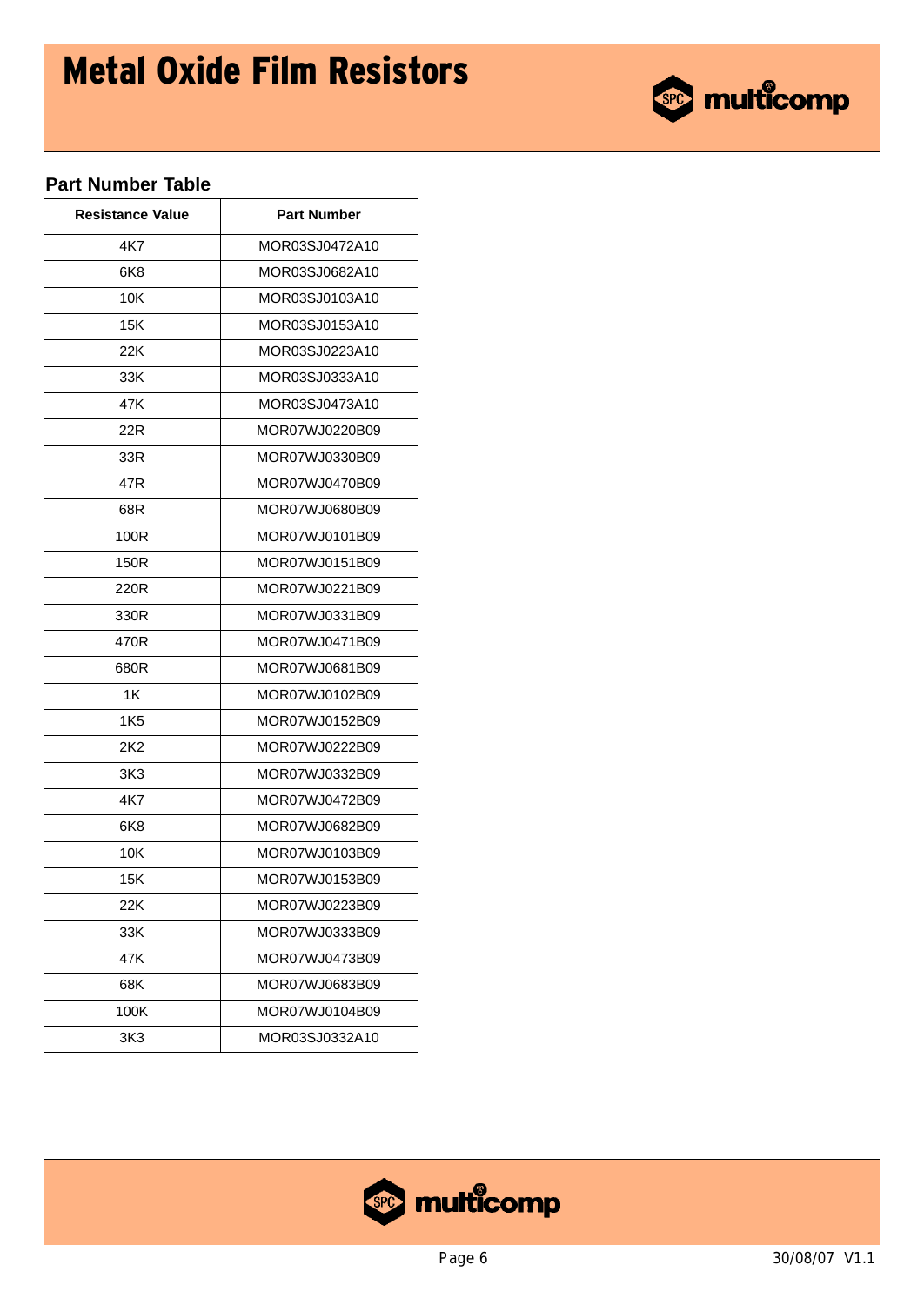

## **Part Number Table**

| <b>Resistance Value</b> | <b>Part Number</b> |
|-------------------------|--------------------|
| 4K7                     | MOR03SJ0472A10     |
| 6K8                     | MOR03SJ0682A10     |
| 10K                     | MOR03SJ0103A10     |
| 15K                     | MOR03SJ0153A10     |
| 22K                     | MOR03SJ0223A10     |
| 33K                     | MOR03SJ0333A10     |
| 47K                     | MOR03SJ0473A10     |
| 22R                     | MOR07WJ0220B09     |
| 33R                     | MOR07WJ0330B09     |
| 47R                     | MOR07WJ0470B09     |
| 68R                     | MOR07WJ0680B09     |
| 100R                    | MOR07WJ0101B09     |
| 150R                    | MOR07WJ0151B09     |
| 220R                    | MOR07WJ0221B09     |
| 330R                    | MOR07WJ0331B09     |
| 470R                    | MOR07WJ0471B09     |
| 680R                    | MOR07WJ0681B09     |
| 1K                      | MOR07WJ0102B09     |
| 1K5                     | MOR07WJ0152B09     |
| 2K2                     | MOR07WJ0222B09     |
| 3K3                     | MOR07WJ0332B09     |
| 4K7                     | MOR07WJ0472B09     |
| 6K8                     | MOR07WJ0682B09     |
| 10K                     | MOR07WJ0103B09     |
| 15K                     | MOR07WJ0153B09     |
| 22K                     | MOR07WJ0223B09     |
| 33K                     | MOR07WJ0333B09     |
| 47K                     | MOR07WJ0473B09     |
| 68K                     | MOR07WJ0683B09     |
| 100K                    | MOR07WJ0104B09     |
| 3K3                     | MOR03SJ0332A10     |

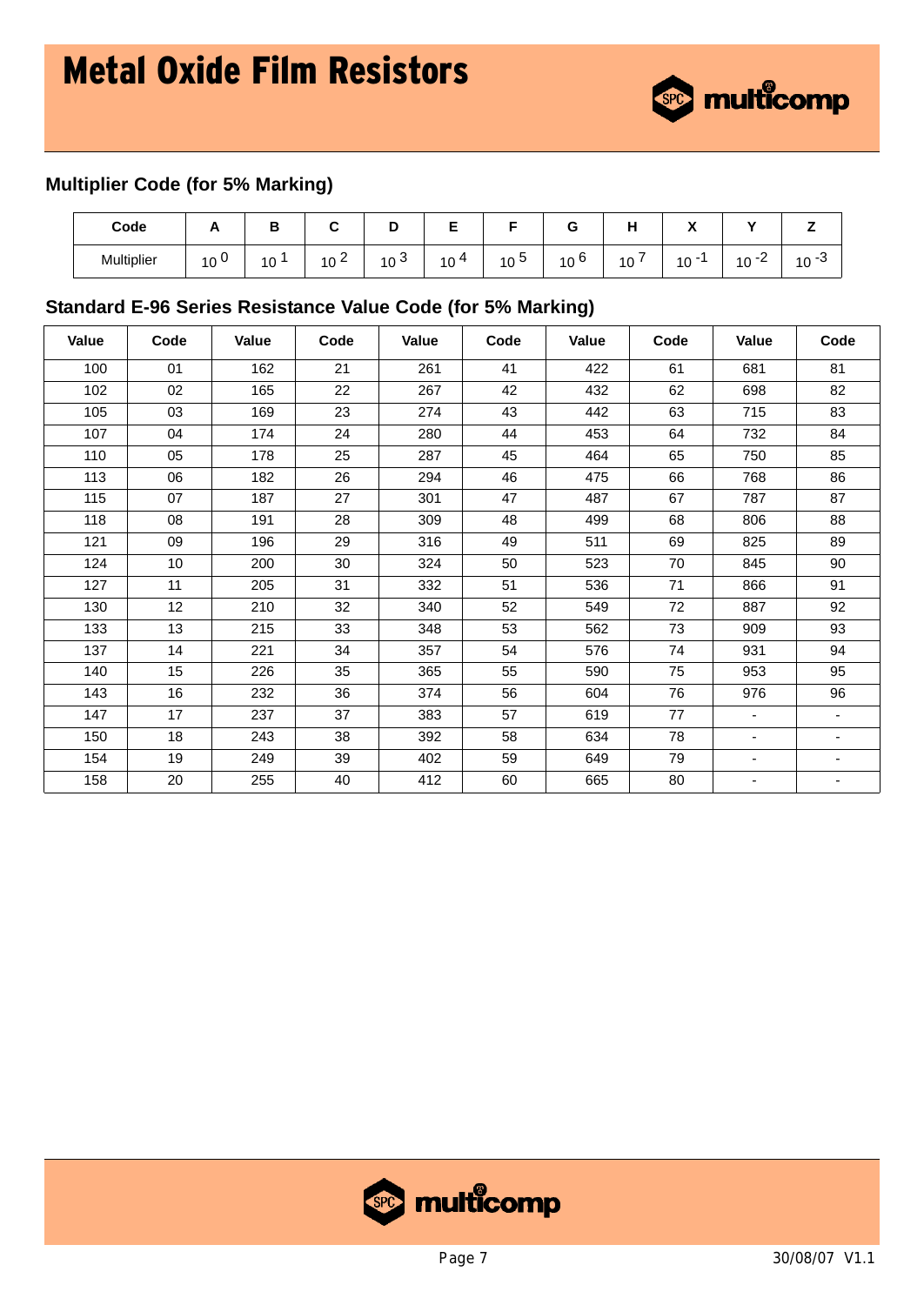

# **Multiplier Code (for 5% Marking)**

| Code       |                       | o  |                                |                           | -       |                   | -               |         | $\mathbf{r}$<br>$\overline{\phantom{a}}$ | . .                                 |                                          |
|------------|-----------------------|----|--------------------------------|---------------------------|---------|-------------------|-----------------|---------|------------------------------------------|-------------------------------------|------------------------------------------|
| Multiplier | 10 <sup>1</sup><br>ΙV | 10 | $\sim$<br>10<br><u>_</u><br>טו | $\sim$<br>10 <sup>3</sup> | 10<br>4 | -<br>$10^{\circ}$ | 10 <sup>6</sup> | -<br>10 | $10 -$<br>1 V                            | 10<br>$\overline{\phantom{a}}$<br>- | $\sqrt{2}$<br>-ئ<br>$\overline{A}$<br>ιv |

### **Standard E-96 Series Resistance Value Code (for 5% Marking)**

| Value | Code | Value | Code | Value | Code | Value | Code | Value  | Code                     |
|-------|------|-------|------|-------|------|-------|------|--------|--------------------------|
| 100   | 01   | 162   | 21   | 261   | 41   | 422   | 61   | 681    | 81                       |
| 102   | 02   | 165   | 22   | 267   | 42   | 432   | 62   | 698    | 82                       |
| 105   | 03   | 169   | 23   | 274   | 43   | 442   | 63   | 715    | 83                       |
| 107   | 04   | 174   | 24   | 280   | 44   | 453   | 64   | 732    | 84                       |
| 110   | 05   | 178   | 25   | 287   | 45   | 464   | 65   | 750    | 85                       |
| 113   | 06   | 182   | 26   | 294   | 46   | 475   | 66   | 768    | 86                       |
| 115   | 07   | 187   | 27   | 301   | 47   | 487   | 67   | 787    | 87                       |
| 118   | 08   | 191   | 28   | 309   | 48   | 499   | 68   | 806    | 88                       |
| 121   | 09   | 196   | 29   | 316   | 49   | 511   | 69   | 825    | 89                       |
| 124   | 10   | 200   | 30   | 324   | 50   | 523   | 70   | 845    | 90                       |
| 127   | 11   | 205   | 31   | 332   | 51   | 536   | 71   | 866    | 91                       |
| 130   | 12   | 210   | 32   | 340   | 52   | 549   | 72   | 887    | 92                       |
| 133   | 13   | 215   | 33   | 348   | 53   | 562   | 73   | 909    | 93                       |
| 137   | 14   | 221   | 34   | 357   | 54   | 576   | 74   | 931    | 94                       |
| 140   | 15   | 226   | 35   | 365   | 55   | 590   | 75   | 953    | 95                       |
| 143   | 16   | 232   | 36   | 374   | 56   | 604   | 76   | 976    | 96                       |
| 147   | 17   | 237   | 37   | 383   | 57   | 619   | 77   | $\sim$ | $\sim$                   |
| 150   | 18   | 243   | 38   | 392   | 58   | 634   | 78   | -      | $\blacksquare$           |
| 154   | 19   | 249   | 39   | 402   | 59   | 649   | 79   | ٠      | $\overline{\phantom{a}}$ |
| 158   | 20   | 255   | 40   | 412   | 60   | 665   | 80   | -      | $\overline{\phantom{a}}$ |

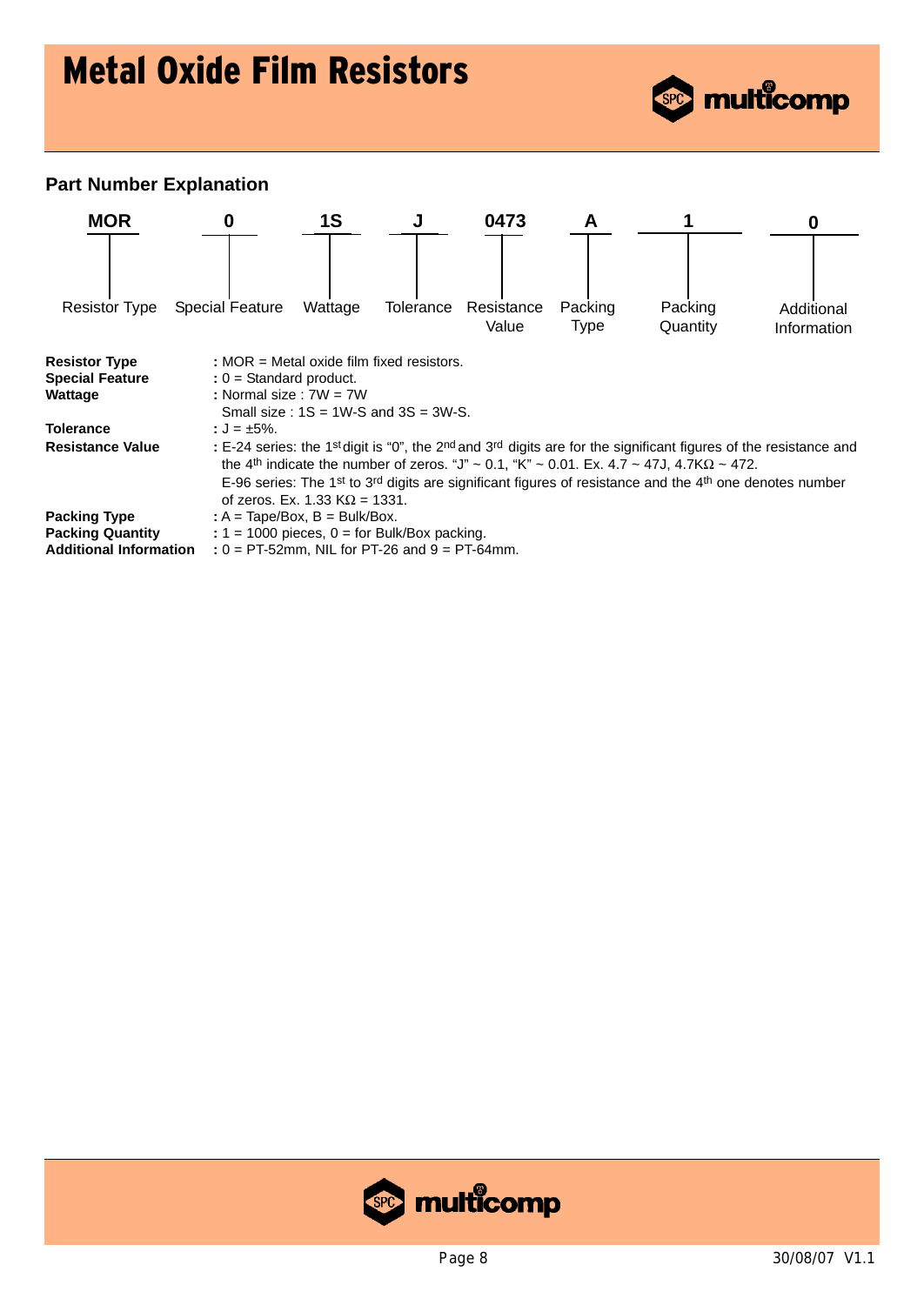

### **Part Number Explanation**